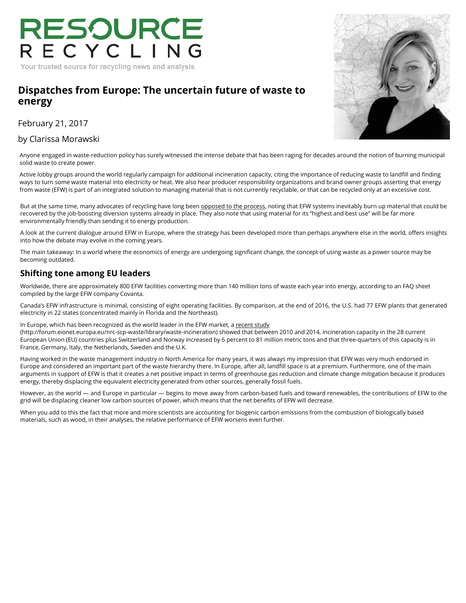# RESOURCE Your trusted source for recycling news and analysis

## **[Dispatches from Europe: The uncertain future of waste to](https://resource-recycling.com/recycling/2017/02/21/dispatches-europe-uncertain-future-waste-energy/) energy**

February 21, 2017

## by [Clarissa Morawski](https://resource-recycling.com/recycling/2017/02/21/dispatches-europe-uncertain-future-waste-energy/)



Anyone engaged in waste-reduction policy has surely witnessed the intense debate that has been raging for dec[ades around the notion of burning municipa](http://rrconference.com/)l solid waste to create power.

Active lobby groups around the world regularly campaign for additional incineration capacity, citing the importance of reducing waste to landfill and finding ways to turn some waste material into electricity or heat. We also hear producer responsibility organizations and brand owner groups asserting that energy from waste (EFW) is part of an integrated solution to managing material that is not currently recyclable, or that can be recycled only at an excessive cost.

But at the same time, many advocates of recycling have long been opposed to the process, noting that EFW systems inevitably burn up material that could be recovered by the job-boosting diversion systems already in place. They also note that using material for its "highest and best use" will be far more environmentally friendly than sending it to energy production.

A look at the current dialogue around EFW in Europe, where the strategy has been developed more than perha[ps anywhere else in the world, o](https://resource-recycling.com/recycling/2017/02/21/recycling-coalitions-talk-legislative-climate/)ffers insights into how the debate may evolve in the coming years.

The main takeaway: In a world where the economics of energy are undergoing significant change, the concept of using waste as a power source may be becoming outdated.

## **Shifting tone among EU leaders**

[Worldwide, there are approximately 800 EFW facilities co](https://www.thebalance.com/examining-the-arguments-against-waste-to-energy-2877731)nverting more than 140 million tons of waste each year into energy, according to an FAQ sheet compiled by the large EFW company Covanta.

Canada's EFW infrastructure is minimal, consisting of eight operating facilities. By comparison, at the end of 201[6, the U.S. had 77 EFW plants that generated](https://resource-recycling.com/recycling/2017/02/21/giant-haulers-report-higher-recycling-revenues-2016/)  electricity in 22 states (concentrated mainly in Florida and the Northeast).

In Europe, which has been recognized as the world leader in the EFW market, a recent study (http://forum.eionet.europa.eu/nrc-scp-waste/library/waste-incineration) showed that between 2010 and 2014, incineration capacity in the 28 current European Union (EU) countries plus Switzerland and Norway increased by 6 percent to 81 million metric tons and that three-quarters of this capacity is in France, Germany, Italy, the Netherlands, Sweden and the U.K.

Having worked in the waste management industry in North America for many years, it was always my impression that EFW was very much endorsed in Europe and considered an important part of the waste hierarchy there. In Europe, after all, landfill space is at a premium. Furthermore, one of the main arguments in support of EFW is that it creates a net positive impact in terms of greenhouse gas reduction and cli[mate change mitigation because it produces](https://resource-recycling.com/recycling/2017/02/21/epa-pick-draws-ire-former-agency-employees/)  energy, thereby displacing the equivalent electricity generated from other sources, generally fossil fuels.

However, as the world — and Europe in particular — begins to move away from carbon-based fuels and toward renewables, the contributions of EFW to the grid will be displacing cleaner low carbon sources of power, which means that the net benefits of EFW will decrease.

When you add to this the fact that more and more scientists are accounting for biogenic carbon emissions from the combustion of biologically based [materials, such as wood, in their analyses, the relative](http://forum.eionet.europa.eu/nrc-scp-waste/library/waste-incineration) performance of EFW worsens even further.